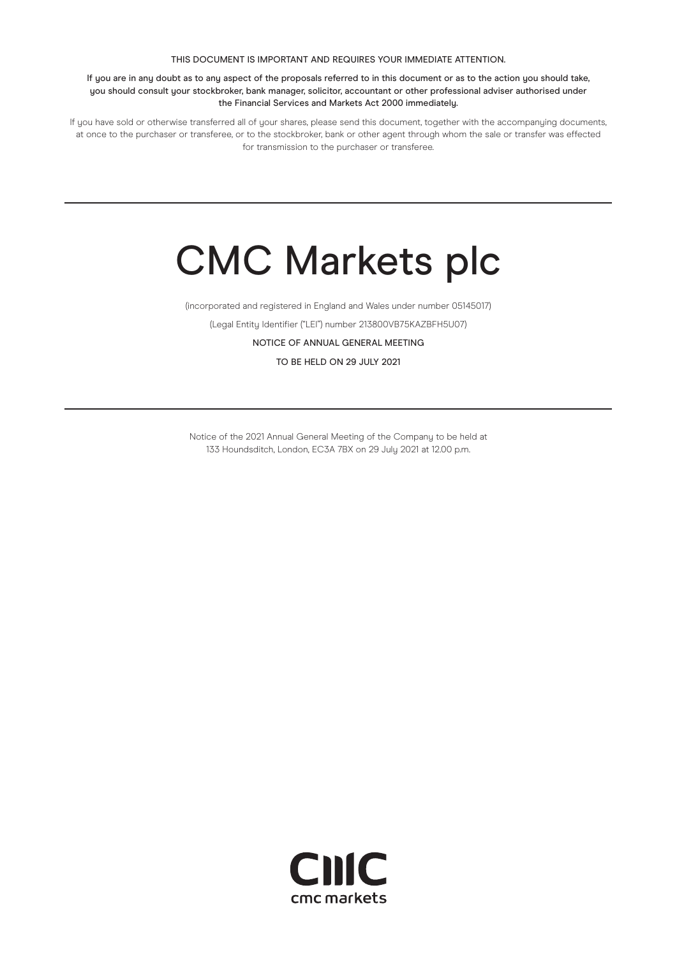#### THIS DOCUMENT IS IMPORTANT AND REQUIRES YOUR IMMEDIATE ATTENTION.

If you are in any doubt as to any aspect of the proposals referred to in this document or as to the action you should take, you should consult your stockbroker, bank manager, solicitor, accountant or other professional adviser authorised under the Financial Services and Markets Act 2000 immediately.

If you have sold or otherwise transferred all of your shares, please send this document, together with the accompanying documents, at once to the purchaser or transferee, or to the stockbroker, bank or other agent through whom the sale or transfer was effected for transmission to the purchaser or transferee.

# CMC Markets plc

(incorporated and registered in England and Wales under number 05145017)

(Legal Entity Identifier ("LEI") number 213800VB75KAZBFH5U07)

NOTICE OF ANNUAL GENERAL MEETING

TO BE HELD ON 29 JULY 2021

Notice of the 2021 Annual General Meeting of the Company to be held at 133 Houndsditch, London, EC3A 7BX on 29 July 2021 at 12.00 p.m.

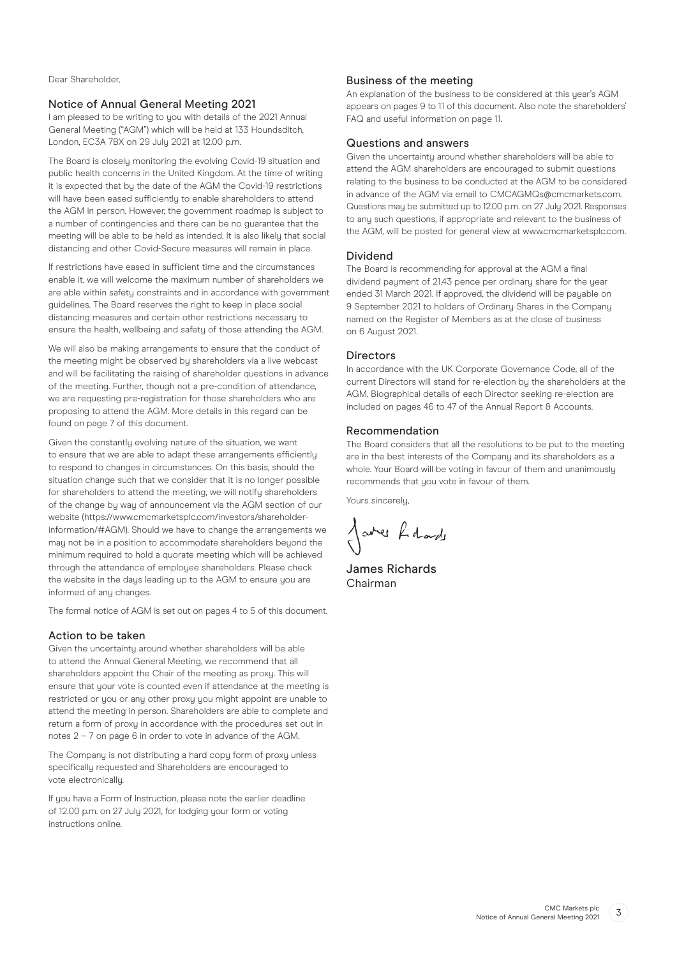Dear Shareholder,

#### Notice of Annual General Meeting 2021

I am pleased to be writing to you with details of the 2021 Annual General Meeting ("AGM") which will be held at 133 Houndsditch, London, EC3A 7BX on 29 July 2021 at 12.00 p.m.

The Board is closely monitoring the evolving Covid-19 situation and public health concerns in the United Kingdom. At the time of writing it is expected that by the date of the AGM the Covid-19 restrictions will have been eased sufficiently to enable shareholders to attend the AGM in person. However, the government roadmap is subject to a number of contingencies and there can be no guarantee that the meeting will be able to be held as intended. It is also likely that social distancing and other Covid-Secure measures will remain in place.

If restrictions have eased in sufficient time and the circumstances enable it, we will welcome the maximum number of shareholders we are able within safety constraints and in accordance with government guidelines. The Board reserves the right to keep in place social distancing measures and certain other restrictions necessary to ensure the health, wellbeing and safety of those attending the AGM.

We will also be making arrangements to ensure that the conduct of the meeting might be observed by shareholders via a live webcast and will be facilitating the raising of shareholder questions in advance of the meeting. Further, though not a pre-condition of attendance, we are requesting pre-registration for those shareholders who are proposing to attend the AGM. More details in this regard can be found on page 7 of this document.

Given the constantly evolving nature of the situation, we want to ensure that we are able to adapt these arrangements efficiently to respond to changes in circumstances. On this basis, should the situation change such that we consider that it is no longer possible for shareholders to attend the meeting, we will notify shareholders of the change by way of announcement via the AGM section of our website (https://www.cmcmarketsplc.com/investors/shareholderinformation/#AGM). Should we have to change the arrangements we may not be in a position to accommodate shareholders beyond the minimum required to hold a quorate meeting which will be achieved through the attendance of employee shareholders. Please check the website in the days leading up to the AGM to ensure you are informed of any changes.

The formal notice of AGM is set out on pages 4 to 5 of this document.

#### Action to be taken

Given the uncertainty around whether shareholders will be able to attend the Annual General Meeting, we recommend that all shareholders appoint the Chair of the meeting as proxy. This will ensure that your vote is counted even if attendance at the meeting is restricted or you or any other proxy you might appoint are unable to attend the meeting in person. Shareholders are able to complete and return a form of proxy in accordance with the procedures set out in notes 2 – 7 on page 6 in order to vote in advance of the AGM.

The Company is not distributing a hard copy form of proxy unless specifically requested and Shareholders are encouraged to vote electronically.

If you have a Form of Instruction, please note the earlier deadline of 12.00 p.m. on 27 July 2021, for lodging your form or voting instructions online.

# Business of the meeting

An explanation of the business to be considered at this year's AGM appears on pages 9 to 11 of this document. Also note the shareholders' FAQ and useful information on page 11.

# Questions and answers

Given the uncertainty around whether shareholders will be able to attend the AGM shareholders are encouraged to submit questions relating to the business to be conducted at the AGM to be considered in advance of the AGM via email to CMCAGMQs@cmcmarkets.com. Questions may be submitted up to 12.00 p.m. on 27 July 2021. Responses to any such questions, if appropriate and relevant to the business of the AGM, will be posted for general view at www.cmcmarketsplc.com.

#### Dividend

The Board is recommending for approval at the AGM a final dividend payment of 21.43 pence per ordinary share for the year ended 31 March 2021. If approved, the dividend will be payable on 9 September 2021 to holders of Ordinary Shares in the Company named on the Register of Members as at the close of business on 6 August 2021.

#### **Directors**

In accordance with the UK Corporate Governance Code, all of the current Directors will stand for re-election by the shareholders at the AGM. Biographical details of each Director seeking re-election are included on pages 46 to 47 of the Annual Report  $\theta$  Accounts.

#### Recommendation

The Board considers that all the resolutions to be put to the meeting are in the best interests of the Company and its shareholders as a whole. Your Board will be voting in favour of them and unanimously recommends that you vote in favour of them.

Yours sincerely,

Jares Lidade

James Richards Chairman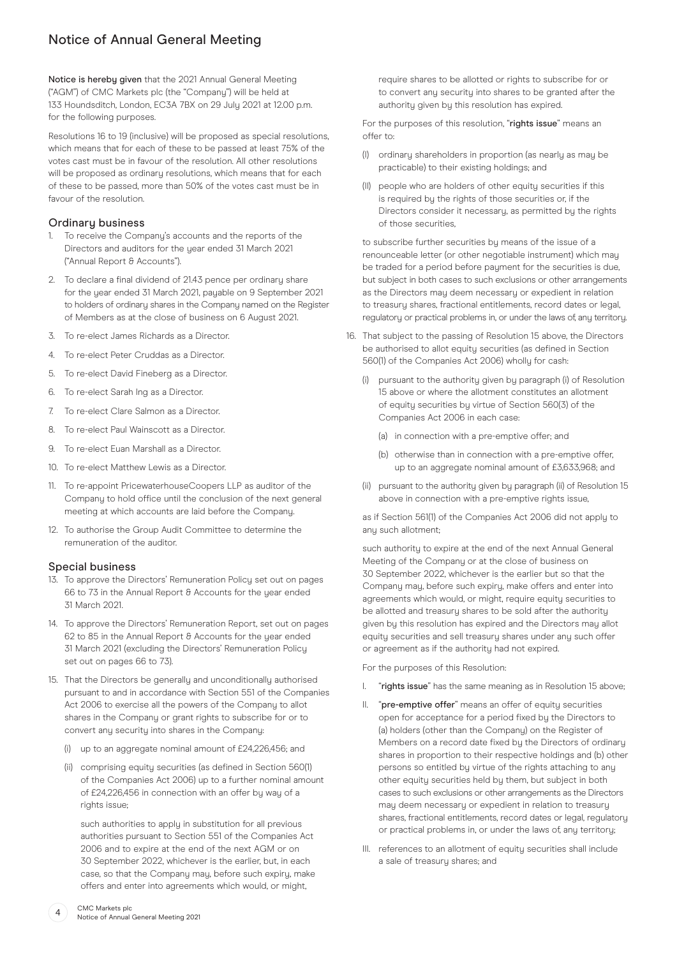# Notice of Annual General Meeting

Notice is hereby given that the 2021 Annual General Meeting ("AGM") of CMC Markets plc (the "Company") will be held at 133 Houndsditch, London, EC3A 7BX on 29 July 2021 at 12.00 p.m. for the following purposes.

Resolutions 16 to 19 (inclusive) will be proposed as special resolutions, which means that for each of these to be passed at least 75% of the votes cast must be in favour of the resolution. All other resolutions will be proposed as ordinary resolutions, which means that for each of these to be passed, more than 50% of the votes cast must be in favour of the resolution.

# Ordinary business

- 1. To receive the Company's accounts and the reports of the Directors and auditors for the year ended 31 March 2021 ("Annual Report & Accounts").
- 2. To declare a final dividend of 21.43 pence per ordinary share for the year ended 31 March 2021, payable on 9 September 2021 to holders of ordinary shares in the Company named on the Register of Members as at the close of business on 6 August 2021.
- 3. To re-elect James Richards as a Director.
- 4. To re-elect Peter Cruddas as a Director.
- 5. To re-elect David Fineberg as a Director.
- 6. To re-elect Sarah Ing as a Director.
- 7. To re-elect Clare Salmon as a Director.
- 8. To re-elect Paul Wainscott as a Director.
- 9. To re-elect Euan Marshall as a Director.
- 10. To re-elect Matthew Lewis as a Director.
- 11. To re-appoint PricewaterhouseCoopers LLP as auditor of the Company to hold office until the conclusion of the next general meeting at which accounts are laid before the Company.
- 12. To authorise the Group Audit Committee to determine the remuneration of the auditor.

# Special business

- 13. To approve the Directors' Remuneration Policy set out on pages 66 to 73 in the Annual Report & Accounts for the year ended 31 March 2021.
- 14. To approve the Directors' Remuneration Report, set out on pages 62 to 85 in the Annual Report & Accounts for the year ended 31 March 2021 (excluding the Directors' Remuneration Policy set out on pages 66 to 73).
- 15. That the Directors be generally and unconditionally authorised pursuant to and in accordance with Section 551 of the Companies Act 2006 to exercise all the powers of the Company to allot shares in the Company or grant rights to subscribe for or to convert any security into shares in the Company:
	- (i) up to an aggregate nominal amount of £24,226,456; and
	- (ii) comprising equity securities (as defined in Section 560(1) of the Companies Act 2006) up to a further nominal amount of £24,226,456 in connection with an offer by way of a rights issue:

 such authorities to apply in substitution for all previous authorities pursuant to Section 551 of the Companies Act 2006 and to expire at the end of the next AGM or on 30 September 2022, whichever is the earlier, but, in each case, so that the Company may, before such expiry, make offers and enter into agreements which would, or might,

require shares to be allotted or rights to subscribe for or to convert any security into shares to be granted after the authority given by this resolution has expired.

For the purposes of this resolution, "rights issue" means an offer to:

- (I) ordinary shareholders in proportion (as nearly as may be practicable) to their existing holdings; and
- (II) people who are holders of other equity securities if this is required by the rights of those securities or, if the Directors consider it necessary, as permitted by the rights of those securities,

 to subscribe further securities by means of the issue of a renounceable letter (or other negotiable instrument) which may be traded for a period before payment for the securities is due, but subject in both cases to such exclusions or other arrangements as the Directors may deem necessary or expedient in relation to treasury shares, fractional entitlements, record dates or legal, regulatory or practical problems in, or under the laws of, any territory.

- 16. That subject to the passing of Resolution 15 above, the Directors be authorised to allot equity securities (as defined in Section 560(1) of the Companies Act 2006) wholly for cash:
	- (i) pursuant to the authority given by paragraph (i) of Resolution 15 above or where the allotment constitutes an allotment of equity securities by virtue of Section 560(3) of the Companies Act 2006 in each case:
		- (a) in connection with a pre-emptive offer; and
		- (b) otherwise than in connection with a pre-emptive offer, up to an aggregate nominal amount of £3,633,968; and
	- (ii) pursuant to the authority given by paragraph (ii) of Resolution 15 above in connection with a pre-emptive rights issue,

 as if Section 561(1) of the Companies Act 2006 did not apply to any such allotment;

 such authority to expire at the end of the next Annual General Meeting of the Company or at the close of business on 30 September 2022, whichever is the earlier but so that the Company may, before such expiry, make offers and enter into agreements which would, or might, require equity securities to be allotted and treasury shares to be sold after the authority given by this resolution has expired and the Directors may allot equity securities and sell treasury shares under any such offer or agreement as if the authority had not expired.

For the purposes of this Resolution:

- I. "rights issue" has the same meaning as in Resolution 15 above;
- "pre-emptive offer" means an offer of equity securities open for acceptance for a period fixed by the Directors to (a) holders (other than the Company) on the Register of Members on a record date fixed by the Directors of ordinary shares in proportion to their respective holdings and (b) other persons so entitled by virtue of the rights attaching to any other equity securities held by them, but subject in both cases to such exclusions or other arrangements as the Directors may deem necessary or expedient in relation to treasury shares, fractional entitlements, record dates or legal, regulatory or practical problems in, or under the laws of, any territory;
- III. references to an allotment of equity securities shall include a sale of treasury shares; and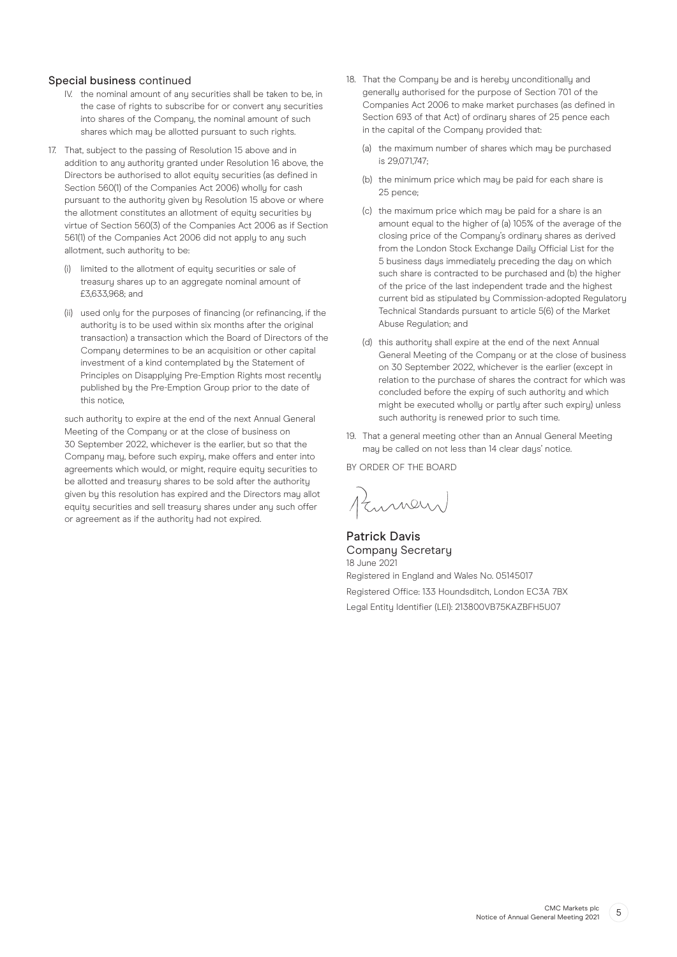# Special business continued

- IV. the nominal amount of any securities shall be taken to be, in the case of rights to subscribe for or convert any securities into shares of the Company, the nominal amount of such shares which may be allotted pursuant to such rights.
- 17. That, subject to the passing of Resolution 15 above and in addition to any authority granted under Resolution 16 above, the Directors be authorised to allot equity securities (as defined in Section 560(1) of the Companies Act 2006) wholly for cash pursuant to the authority given by Resolution 15 above or where the allotment constitutes an allotment of equity securities by virtue of Section 560(3) of the Companies Act 2006 as if Section 561(1) of the Companies Act 2006 did not apply to any such allotment, such authority to be:
	- (i) limited to the allotment of equity securities or sale of treasury shares up to an aggregate nominal amount of £3,633,968; and
	- (ii) used only for the purposes of financing (or refinancing, if the authority is to be used within six months after the original transaction) a transaction which the Board of Directors of the Company determines to be an acquisition or other capital investment of a kind contemplated by the Statement of Principles on Disapplying Pre-Emption Rights most recently published by the Pre-Emption Group prior to the date of this notice,

such authoritu to expire at the end of the next Annual General Meeting of the Company or at the close of business on 30 September 2022, whichever is the earlier, but so that the Company may, before such expiry, make offers and enter into agreements which would, or might, require equity securities to be allotted and treasury shares to be sold after the authority given by this resolution has expired and the Directors may allot equity securities and sell treasury shares under any such offer or agreement as if the authority had not expired.

- 18. That the Company be and is hereby unconditionally and generally authorised for the purpose of Section 701 of the Companies Act 2006 to make market purchases (as defined in Section 693 of that Act) of ordinary shares of 25 pence each in the capital of the Company provided that:
	- (a) the maximum number of shares which may be purchased is 29,071,747;
	- (b) the minimum price which may be paid for each share is 25 pence;
	- (c) the maximum price which may be paid for a share is an amount equal to the higher of (a) 105% of the average of the closing price of the Company's ordinary shares as derived from the London Stock Exchange Daily Official List for the 5 business days immediately preceding the day on which such share is contracted to be purchased and (b) the higher of the price of the last independent trade and the highest current bid as stipulated by Commission-adopted Regulatory Technical Standards pursuant to article 5(6) of the Market Abuse Regulation; and
	- (d) this authority shall expire at the end of the next Annual General Meeting of the Company or at the close of business on 30 September 2022, whichever is the earlier (except in relation to the purchase of shares the contract for which was concluded before the expiry of such authority and which might be executed wholly or partly after such expiry) unless such authority is renewed prior to such time.
- 19. That a general meeting other than an Annual General Meeting may be called on not less than 14 clear days' notice.

BY ORDER OF THE BOARD

Kumen

Patrick Davis Company Secretary 18 June 2021 Registered in England and Wales No. 05145017 Registered Office: 133 Houndsditch, London EC3A 7BX Legal Entity Identifier (LEI): 213800VB75KAZBFH5U07

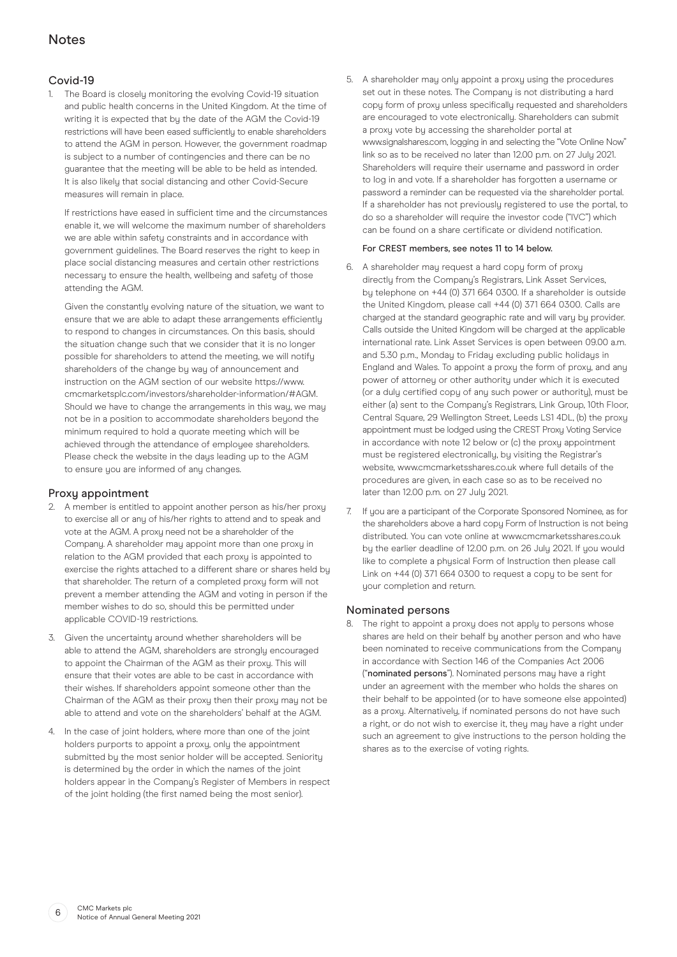# Covid-19

1. The Board is closely monitoring the evolving Covid-19 situation and public health concerns in the United Kingdom. At the time of writing it is expected that by the date of the AGM the Covid-19 restrictions will have been eased sufficiently to enable shareholders to attend the AGM in person. However, the government roadmap is subject to a number of contingencies and there can be no guarantee that the meeting will be able to be held as intended. It is also likely that social distancing and other Covid-Secure measures will remain in place.

 If restrictions have eased in sufficient time and the circumstances enable it, we will welcome the maximum number of shareholders we are able within safety constraints and in accordance with government guidelines. The Board reserves the right to keep in place social distancing measures and certain other restrictions necessary to ensure the health, wellbeing and safety of those attending the AGM.

 Given the constantly evolving nature of the situation, we want to ensure that we are able to adapt these arrangements efficiently to respond to changes in circumstances. On this basis, should the situation change such that we consider that it is no longer possible for shareholders to attend the meeting, we will notify shareholders of the change by way of announcement and instruction on the AGM section of our website https://www. cmcmarketsplc.com/investors/shareholder-information/#AGM. Should we have to change the arrangements in this way, we may not be in a position to accommodate shareholders beyond the minimum required to hold a quorate meeting which will be achieved through the attendance of employee shareholders. Please check the website in the daus leading up to the AGM to ensure you are informed of any changes.

# Proxy appointment

- 2. A member is entitled to appoint another person as his/her proxy to exercise all or any of his/her rights to attend and to speak and vote at the AGM. A proxy need not be a shareholder of the Company. A shareholder may appoint more than one proxy in relation to the AGM provided that each proxy is appointed to exercise the rights attached to a different share or shares held by that shareholder. The return of a completed proxy form will not prevent a member attending the AGM and voting in person if the member wishes to do so, should this be permitted under applicable COVID-19 restrictions.
- 3. Given the uncertainty around whether shareholders will be able to attend the AGM, shareholders are strongly encouraged to appoint the Chairman of the AGM as their proxy. This will ensure that their votes are able to be cast in accordance with their wishes. If shareholders appoint someone other than the Chairman of the AGM as their proxy then their proxy may not be able to attend and vote on the shareholders' behalf at the AGM.
- 4. In the case of joint holders, where more than one of the joint holders purports to appoint a proxy, only the appointment submitted by the most senior holder will be accepted. Seniority is determined by the order in which the names of the joint holders appear in the Company's Register of Members in respect of the joint holding (the first named being the most senior).

5. A shareholder may only appoint a proxy using the procedures set out in these notes. The Company is not distributing a hard copy form of proxy unless specifically requested and shareholders are encouraged to vote electronically. Shareholders can submit a proxy vote by accessing the shareholder portal at www.signalshares.com, logging in and selecting the "Vote Online Now" link so as to be received no later than 12.00 p.m. on 27 July 2021. Shareholders will require their username and password in order to log in and vote. If a shareholder has forgotten a username or password a reminder can be requested via the shareholder portal. If a shareholder has not previously registered to use the portal, to do so a shareholder will require the investor code ("IVC") which can be found on a share certificate or dividend notification.

#### For CREST members, see notes 11 to 14 below.

- 6. A shareholder may request a hard copy form of proxy directly from the Company's Registrars, Link Asset Services, by telephone on +44 (0) 371 664 0300. If a shareholder is outside the United Kingdom, please call +44 (0) 371 664 0300. Calls are charged at the standard geographic rate and will vary by provider. Calls outside the United Kingdom will be charged at the applicable international rate. Link Asset Services is open between 09.00 a.m. and 5.30 p.m., Monday to Friday excluding public holidays in England and Wales. To appoint a proxy the form of proxy, and any power of attorney or other authority under which it is executed (or a duly certified copy of any such power or authority), must be either (a) sent to the Company's Registrars, Link Group, 10th Floor, Central Square, 29 Wellington Street, Leeds LS1 4DL, (b) the proxy appointment must be lodged using the CREST Proxy Voting Service in accordance with note 12 below or (c) the proxy appointment must be registered electronically, by visiting the Registrar's website, www.cmcmarketsshares.co.uk where full details of the procedures are given, in each case so as to be received no later than 12.00 p.m. on 27 July 2021.
- 7. If you are a participant of the Corporate Sponsored Nominee, as for the shareholders above a hard copy Form of Instruction is not being distributed. You can vote online at www.cmcmarketsshares.co.uk by the earlier deadline of 12.00 p.m. on 26 July 2021. If you would like to complete a physical Form of Instruction then please call Link on +44 (0) 371 664 0300 to request a copy to be sent for your completion and return.

# Nominated persons

8. The right to appoint a proxy does not apply to persons whose shares are held on their behalf by another person and who have been nominated to receive communications from the Company in accordance with Section 146 of the Companies Act 2006 ("nominated persons"). Nominated persons may have a right under an agreement with the member who holds the shares on their behalf to be appointed (or to have someone else appointed) as a proxy. Alternatively, if nominated persons do not have such a right, or do not wish to exercise it, they may have a right under such an agreement to give instructions to the person holding the shares as to the exercise of voting rights.

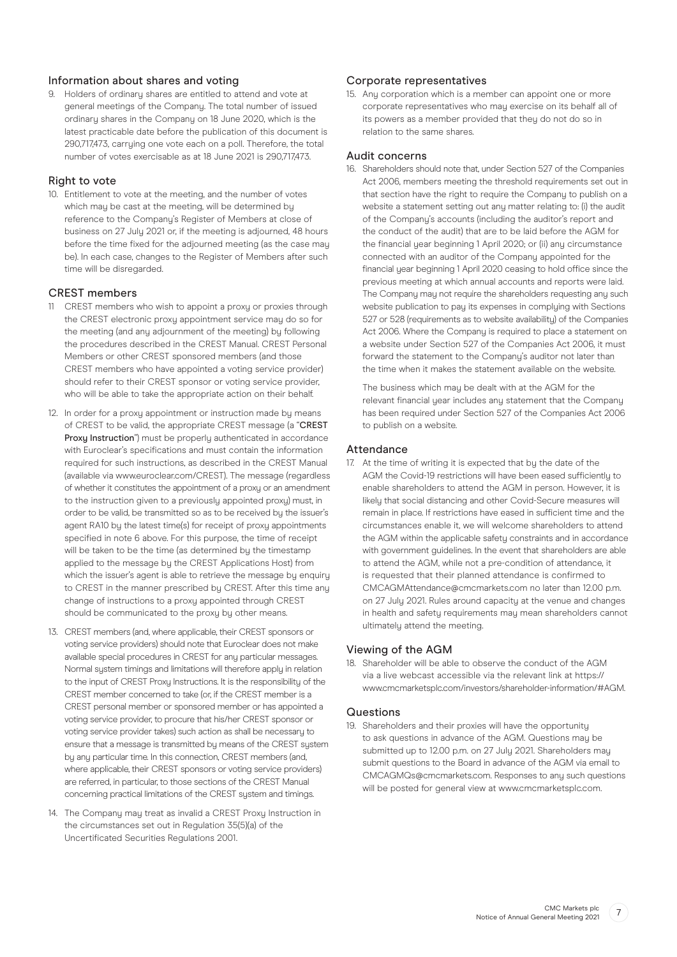# Information about shares and voting

9. Holders of ordinary shares are entitled to attend and vote at general meetings of the Company. The total number of issued ordinary shares in the Company on 18 June 2020, which is the latest practicable date before the publication of this document is 290,717,473, carrying one vote each on a poll. Therefore, the total number of votes exercisable as at 18 June 2021 is 290,717,473.

#### Right to vote

10. Entitlement to vote at the meeting, and the number of votes which may be cast at the meeting, will be determined by reference to the Company's Register of Members at close of business on 27 July 2021 or, if the meeting is adjourned, 48 hours before the time fixed for the adjourned meeting (as the case may be). In each case, changes to the Register of Members after such time will be disregarded.

# CREST members

- 11 CREST members who wish to appoint a proxy or proxies through the CREST electronic proxy appointment service may do so for the meeting (and any adjournment of the meeting) by following the procedures described in the CREST Manual. CREST Personal Members or other CREST sponsored members (and those CREST members who have appointed a voting service provider) should refer to their CREST sponsor or voting service provider, who will be able to take the appropriate action on their behalf.
- 12. In order for a proxy appointment or instruction made by means of CREST to be valid, the appropriate CREST message (a "CREST Proxy Instruction") must be properly authenticated in accordance with Euroclear's specifications and must contain the information required for such instructions, as described in the CREST Manual (available via www.euroclear.com/CREST). The message (regardless of whether it constitutes the appointment of a proxy or an amendment to the instruction given to a previously appointed proxy) must, in order to be valid, be transmitted so as to be received by the issuer's agent RA10 by the latest time(s) for receipt of proxy appointments specified in note 6 above. For this purpose, the time of receipt will be taken to be the time (as determined by the timestamp applied to the message by the CREST Applications Host) from which the issuer's agent is able to retrieve the message by enquiry to CREST in the manner prescribed by CREST. After this time any change of instructions to a proxy appointed through CREST should be communicated to the proxy by other means.
- 13. CREST members (and, where applicable, their CREST sponsors or voting service providers) should note that Euroclear does not make available special procedures in CREST for any particular messages. Normal system timings and limitations will therefore apply in relation to the input of CREST Proxy Instructions. It is the responsibility of the CREST member concerned to take (or, if the CREST member is a CREST personal member or sponsored member or has appointed a voting service provider, to procure that his/her CREST sponsor or voting service provider takes) such action as shall be necessary to ensure that a message is transmitted by means of the CREST system by any particular time. In this connection, CREST members (and, where applicable, their CREST sponsors or voting service providers) are referred, in particular, to those sections of the CREST Manual concerning practical limitations of the CREST system and timings.
- 14. The Company may treat as invalid a CREST Proxy Instruction in the circumstances set out in Regulation 35(5)(a) of the Uncertificated Securities Regulations 2001.

# Corporate representatives

15. Any corporation which is a member can appoint one or more corporate representatives who may exercise on its behalf all of its powers as a member provided that they do not do so in relation to the same shares.

#### Audit concerns

16. Shareholders should note that, under Section 527 of the Companies Act 2006, members meeting the threshold requirements set out in that section have the right to require the Company to publish on a website a statement setting out any matter relating to: (i) the audit of the Company's accounts (including the auditor's report and the conduct of the audit) that are to be laid before the AGM for the financial year beginning 1 April 2020; or (ii) any circumstance connected with an auditor of the Company appointed for the financial year beginning 1 April 2020 ceasing to hold office since the previous meeting at which annual accounts and reports were laid. The Company may not require the shareholders requesting any such website publication to pay its expenses in compluing with Sections 527 or 528 (requirements as to website availability) of the Companies Act 2006. Where the Company is required to place a statement on a website under Section 527 of the Companies Act 2006, it must forward the statement to the Company's auditor not later than the time when it makes the statement available on the website.

 The business which may be dealt with at the AGM for the relevant financial year includes any statement that the Company has been required under Section 527 of the Companies Act 2006 to publish on a website.

#### Attendance

17. At the time of writing it is expected that by the date of the AGM the Covid-19 restrictions will have been eased sufficiently to enable shareholders to attend the AGM in person. However, it is likely that social distancing and other Covid-Secure measures will remain in place. If restrictions have eased in sufficient time and the circumstances enable it, we will welcome shareholders to attend the AGM within the applicable safety constraints and in accordance with government guidelines. In the event that shareholders are able to attend the AGM, while not a pre-condition of attendance, it is requested that their planned attendance is confirmed to CMCAGMAttendance@cmcmarkets.com no later than 12.00 p.m. on 27 July 2021. Rules around capacity at the venue and changes in health and safety requirements may mean shareholders cannot ultimately attend the meeting.

#### Viewing of the AGM

18. Shareholder will be able to observe the conduct of the AGM via a live webcast accessible via the relevant link at https:// www.cmcmarketsplc.com/investors/shareholder-information/#AGM.

#### **Questions**

19. Shareholders and their proxies will have the opportunity to ask questions in advance of the AGM. Questions may be submitted up to 12.00 p.m. on 27 July 2021. Shareholders may submit questions to the Board in advance of the AGM via email to CMCAGMQs@cmcmarkets.com. Responses to any such questions will be posted for general view at www.cmcmarketsplc.com.

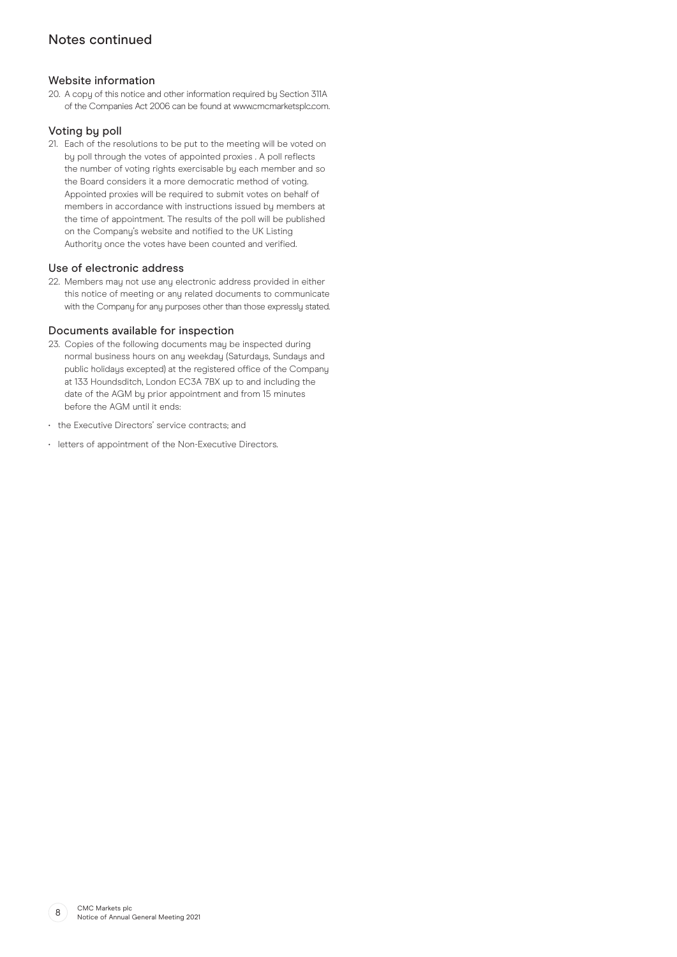# Notes continued

# Website information

20. A copy of this notice and other information required by Section 311A of the Companies Act 2006 can be found at www.cmcmarketsplc.com.

# Voting by poll

21. Each of the resolutions to be put to the meeting will be voted on by poll through the votes of appointed proxies . A poll reflects the number of voting rights exercisable by each member and so the Board considers it a more democratic method of voting. Appointed proxies will be required to submit votes on behalf of members in accordance with instructions issued by members at the time of appointment. The results of the poll will be published on the Company's website and notified to the UK Listing Authority once the votes have been counted and verified.

## Use of electronic address

22. Members may not use any electronic address provided in either this notice of meeting or any related documents to communicate with the Company for any purposes other than those expressly stated.

## Documents available for inspection

- 23. Copies of the following documents may be inspected during normal business hours on any weekday (Saturdays, Sundays and public holidays excepted) at the registered office of the Company at 133 Houndsditch, London EC3A 7BX up to and including the date of the AGM by prior appointment and from 15 minutes before the AGM until it ends:
- the Executive Directors' service contracts; and
- letters of appointment of the Non-Executive Directors.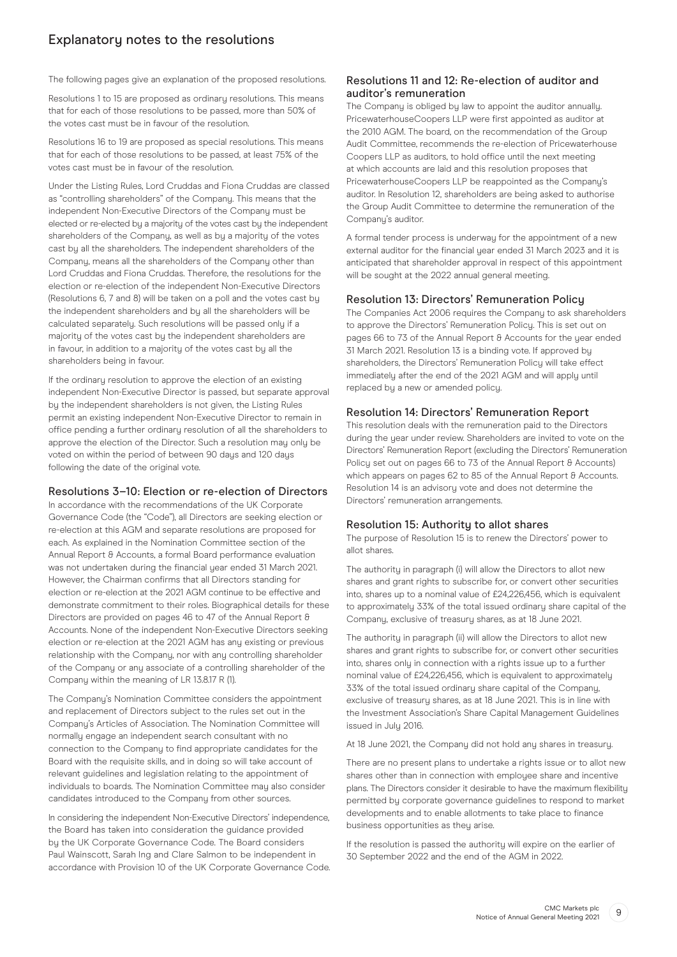# Explanatory notes to the resolutions

The following pages give an explanation of the proposed resolutions.

Resolutions 1 to 15 are proposed as ordinary resolutions. This means that for each of those resolutions to be passed, more than 50% of the votes cast must be in favour of the resolution.

Resolutions 16 to 19 are proposed as special resolutions. This means that for each of those resolutions to be passed, at least 75% of the votes cast must be in favour of the resolution.

Under the Listing Rules, Lord Cruddas and Fiona Cruddas are classed as "controlling shareholders" of the Company. This means that the independent Non-Executive Directors of the Company must be elected or re-elected by a majority of the votes cast by the independent shareholders of the Company, as well as by a majority of the votes cast by all the shareholders. The independent shareholders of the Company, means all the shareholders of the Company other than Lord Cruddas and Fiona Cruddas. Therefore, the resolutions for the election or re-election of the independent Non-Executive Directors (Resolutions 6, 7 and 8) will be taken on a poll and the votes cast by the independent shareholders and by all the shareholders will be calculated separately. Such resolutions will be passed only if a majority of the votes cast by the independent shareholders are in favour, in addition to a majority of the votes cast by all the shareholders being in favour.

If the ordinary resolution to approve the election of an existing independent Non-Executive Director is passed, but separate approval by the independent shareholders is not given, the Listing Rules permit an existing independent Non-Executive Director to remain in office pending a further ordinary resolution of all the shareholders to approve the election of the Director. Such a resolution may only be voted on within the period of between 90 days and 120 days following the date of the original vote.

# Resolutions 3–10: Election or re-election of Directors

In accordance with the recommendations of the UK Corporate Governance Code (the "Code"), all Directors are seeking election or re-election at this AGM and separate resolutions are proposed for each. As explained in the Nomination Committee section of the Annual Report & Accounts, a formal Board performance evaluation was not undertaken during the financial year ended 31 March 2021. However, the Chairman confirms that all Directors standing for election or re-election at the 2021 AGM continue to be effective and demonstrate commitment to their roles. Biographical details for these Directors are provided on pages 46 to 47 of the Annual Report & Accounts. None of the independent Non-Executive Directors seeking election or re-election at the 2021 AGM has any existing or previous relationship with the Company, nor with any controlling shareholder of the Company or any associate of a controlling shareholder of the Company within the meaning of LR 13.8.17 R (1).

The Company's Nomination Committee considers the appointment and replacement of Directors subject to the rules set out in the Company's Articles of Association. The Nomination Committee will normally engage an independent search consultant with no connection to the Company to find appropriate candidates for the Board with the requisite skills, and in doing so will take account of relevant guidelines and legislation relating to the appointment of individuals to boards. The Nomination Committee may also consider candidates introduced to the Company from other sources.

In considering the independent Non-Executive Directors' independence, the Board has taken into consideration the guidance provided by the UK Corporate Governance Code. The Board considers Paul Wainscott, Sarah Ing and Clare Salmon to be independent in accordance with Provision 10 of the UK Corporate Governance Code.

# Resolutions 11 and 12: Re-election of auditor and auditor's remuneration

The Company is obliged by law to appoint the auditor annually. PricewaterhouseCoopers LLP were first appointed as auditor at the 2010 AGM. The board, on the recommendation of the Group Audit Committee, recommends the re-election of Pricewaterhouse Coopers LLP as auditors, to hold office until the next meeting at which accounts are laid and this resolution proposes that PricewaterhouseCoopers LLP be reappointed as the Company's auditor. In Resolution 12, shareholders are being asked to authorise the Group Audit Committee to determine the remuneration of the Company's auditor.

A formal tender process is underway for the appointment of a new external auditor for the financial year ended 31 March 2023 and it is anticipated that shareholder approval in respect of this appointment will be sought at the 2022 annual general meeting.

## Resolution 13: Directors' Remuneration Policy

The Companies Act 2006 requires the Company to ask shareholders to approve the Directors' Remuneration Policy. This is set out on pages 66 to 73 of the Annual Report & Accounts for the year ended 31 March 2021. Resolution 13 is a binding vote. If approved by shareholders, the Directors' Remuneration Policy will take effect immediately after the end of the 2021 AGM and will apply until replaced by a new or amended policy.

# Resolution 14: Directors' Remuneration Report

This resolution deals with the remuneration paid to the Directors during the year under review. Shareholders are invited to vote on the Directors' Remuneration Report (excluding the Directors' Remuneration Policy set out on pages 66 to 73 of the Annual Report & Accounts) which appears on pages 62 to 85 of the Annual Report 8 Accounts. Resolution 14 is an advisory vote and does not determine the Directors' remuneration arrangements.

# Resolution 15: Authority to allot shares

The purpose of Resolution 15 is to renew the Directors' power to allot shares.

The authority in paragraph (i) will allow the Directors to allot new shares and grant rights to subscribe for, or convert other securities into, shares up to a nominal value of £24,226,456, which is equivalent to approximately 33% of the total issued ordinary share capital of the Company, exclusive of treasury shares, as at 18 June 2021.

The authority in paragraph (ii) will allow the Directors to allot new shares and grant rights to subscribe for, or convert other securities into, shares only in connection with a rights issue up to a further nominal value of £24,226,456, which is equivalent to approximately 33% of the total issued ordinary share capital of the Company, exclusive of treasury shares, as at 18 June 2021. This is in line with the Investment Association's Share Capital Management Guidelines issued in July 2016.

At 18 June 2021, the Company did not hold any shares in treasury.

There are no present plans to undertake a rights issue or to allot new shares other than in connection with employee share and incentive plans. The Directors consider it desirable to have the maximum flexibility permitted by corporate governance guidelines to respond to market developments and to enable allotments to take place to finance business opportunities as they arise.

If the resolution is passed the authority will expire on the earlier of 30 September 2022 and the end of the AGM in 2022.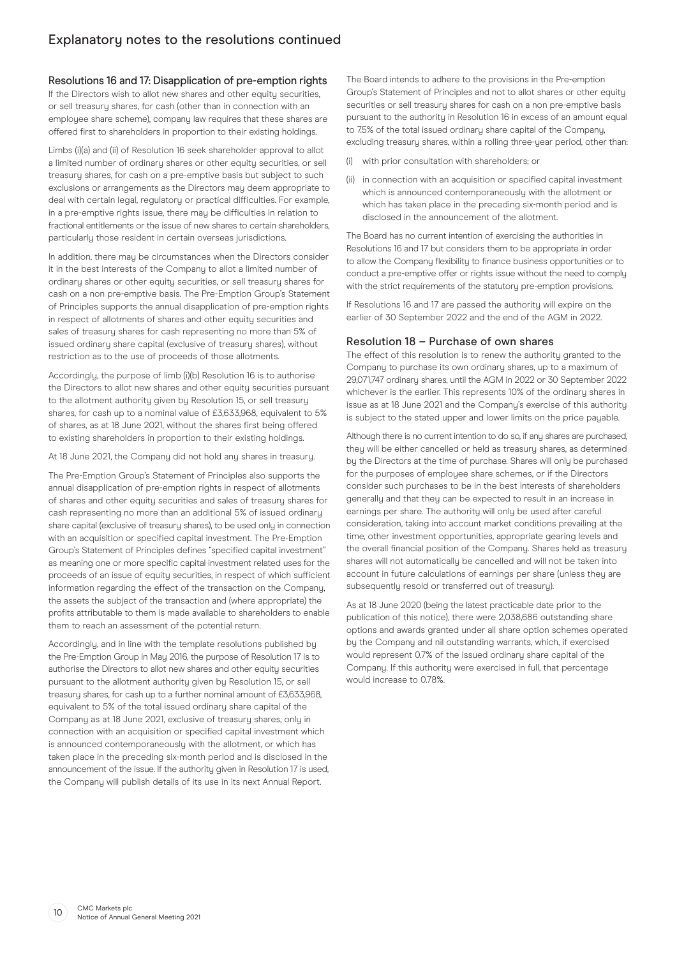# Resolutions 16 and 17: Disapplication of pre-emption rights

If the Directors wish to allot new shares and other equity securities, or sell treasury shares, for cash (other than in connection with an employee share scheme), company law requires that these shares are offered first to shareholders in proportion to their existing holdings.

Limbs (i)(a) and (ii) of Resolution 16 seek shareholder approval to allot a limited number of ordinary shares or other equity securities, or sell treasury shares, for cash on a pre-emptive basis but subject to such exclusions or arrangements as the Directors may deem appropriate to deal with certain legal, regulatory or practical difficulties. For example, in a pre-emptive rights issue, there may be difficulties in relation to fractional entitlements or the issue of new shares to certain shareholders, particularly those resident in certain overseas jurisdictions.

In addition, there may be circumstances when the Directors consider it in the best interests of the Company to allot a limited number of ordinary shares or other equity securities, or sell treasury shares for cash on a non pre-emptive basis. The Pre-Emption Group's Statement of Principles supports the annual disapplication of pre-emption rights in respect of allotments of shares and other equity securities and sales of treasury shares for cash representing no more than 5% of issued ordinary share capital (exclusive of treasury shares), without restriction as to the use of proceeds of those allotments.

Accordingly, the purpose of limb (i)(b) Resolution 16 is to authorise the Directors to allot new shares and other equity securities pursuant to the allotment authority given by Resolution 15, or sell treasury shares, for cash up to a nominal value of £3,633,968, equivalent to 5% of shares, as at 18 June 2021, without the shares first being offered to existing shareholders in proportion to their existing holdings.

At 18 June 2021, the Company did not hold any shares in treasury.

The Pre-Emption Group's Statement of Principles also supports the annual disapplication of pre-emption rights in respect of allotments of shares and other equity securities and sales of treasury shares for cash representing no more than an additional 5% of issued ordinary share capital (exclusive of treasury shares), to be used only in connection with an acquisition or specified capital investment. The Pre-Emption Group's Statement of Principles defines "specified capital investment" as meaning one or more specific capital investment related uses for the proceeds of an issue of equity securities, in respect of which sufficient information regarding the effect of the transaction on the Company, the assets the subject of the transaction and (where appropriate) the profits attributable to them is made available to shareholders to enable them to reach an assessment of the potential return.

Accordingly, and in line with the template resolutions published by the Pre-Emption Group in May 2016, the purpose of Resolution 17 is to authorise the Directors to allot new shares and other equity securities pursuant to the allotment authority given by Resolution 15, or sell treasury shares, for cash up to a further nominal amount of £3,633,968, equivalent to 5% of the total issued ordinary share capital of the Company as at 18 June 2021, exclusive of treasury shares, only in connection with an acquisition or specified capital investment which is announced contemporaneously with the allotment, or which has taken place in the preceding six-month period and is disclosed in the announcement of the issue. If the authority given in Resolution 17 is used. the Company will publish details of its use in its next Annual Report.

The Board intends to adhere to the provisions in the Pre-emption Group's Statement of Principles and not to allot shares or other equity securities or sell treasury shares for cash on a non pre-emptive basis pursuant to the authority in Resolution 16 in excess of an amount equal to 7.5% of the total issued ordinary share capital of the Company, excluding treasury shares, within a rolling three-year period, other than:

- (i) with prior consultation with shareholders; or
- (ii) in connection with an acquisition or specified capital investment which is announced contemporaneously with the allotment or which has taken place in the preceding six-month period and is disclosed in the announcement of the allotment.

The Board has no current intention of exercising the authorities in Resolutions 16 and 17 but considers them to be appropriate in order to allow the Company flexibility to finance business opportunities or to conduct a pre-emptive offer or rights issue without the need to comply with the strict requirements of the statutory pre-emption provisions.

If Resolutions 16 and 17 are passed the authority will expire on the earlier of 30 September 2022 and the end of the AGM in 2022.

#### Resolution 18 – Purchase of own shares

The effect of this resolution is to renew the authority granted to the Company to purchase its own ordinary shares, up to a maximum of 29,071,747 ordinary shares, until the AGM in 2022 or 30 September 2022 whichever is the earlier. This represents 10% of the ordinary shares in issue as at 18 June 2021 and the Company's exercise of this authority is subject to the stated upper and lower limits on the price payable.

Although there is no current intention to do so, if any shares are purchased, they will be either cancelled or held as treasury shares, as determined by the Directors at the time of purchase. Shares will only be purchased for the purposes of employee share schemes, or if the Directors consider such purchases to be in the best interests of shareholders generally and that they can be expected to result in an increase in earnings per share. The authority will only be used after careful consideration, taking into account market conditions prevailing at the time, other investment opportunities, appropriate gearing levels and the overall financial position of the Company. Shares held as treasury shares will not automatically be cancelled and will not be taken into account in future calculations of earnings per share (unless they are subsequently resold or transferred out of treasury).

As at 18 June 2020 (being the latest practicable date prior to the publication of this notice), there were 2,038,686 outstanding share options and awards granted under all share option schemes operated by the Company and nil outstanding warrants, which, if exercised would represent 0.7% of the issued ordinary share capital of the Company. If this authority were exercised in full, that percentage would increase to 0.78%.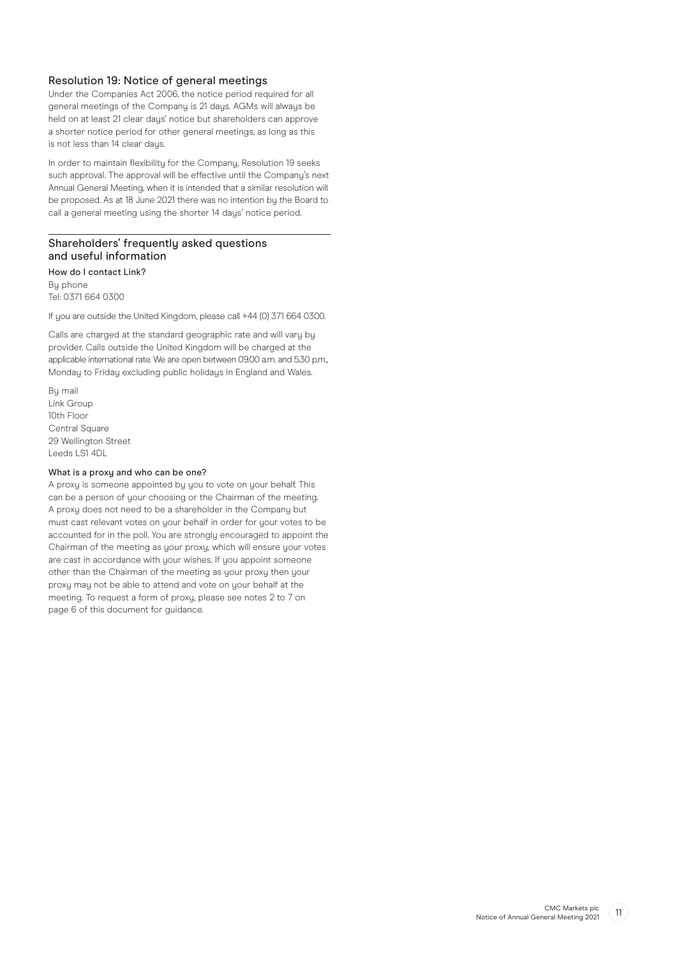# Resolution 19: Notice of general meetings

Under the Companies Act 2006, the notice period required for all general meetings of the Company is 21 days. AGMs will always be held on at least 21 clear days' notice but shareholders can approve a shorter notice period for other general meetings, as long as this is not less than 14 clear days.

In order to maintain flexibility for the Company, Resolution 19 seeks such approval. The approval will be effective until the Company's next Annual General Meeting, when it is intended that a similar resolution will be proposed. As at 18 June 2021 there was no intention by the Board to call a general meeting using the shorter 14 days' notice period.

# Shareholders' frequently asked questions and useful information

How do I contact Link? By phone Tel: 0371 664 0300

If you are outside the United Kingdom, please call +44 (0) 371 664 0300.

Calls are charged at the standard geographic rate and will vary by provider. Calls outside the United Kingdom will be charged at the applicable international rate. We are open between 09.00 a.m. and 5.30 p.m., Monday to Friday excluding public holidays in England and Wales.

By mail Link Group 10th Floor Central Square 29 Wellington Street Leeds LS1 4DL

#### What is a proxy and who can be one?

A proxy is someone appointed by you to vote on your behalf. This can be a person of your choosing or the Chairman of the meeting. A proxy does not need to be a shareholder in the Company but must cast relevant votes on your behalf in order for your votes to be accounted for in the poll. You are strongly encouraged to appoint the Chairman of the meeting as your proxy, which will ensure your votes are cast in accordance with your wishes. If you appoint someone other than the Chairman of the meeting as your proxy then your proxy may not be able to attend and vote on your behalf at the meeting. To request a form of proxy, please see notes 2 to 7 on page 6 of this document for guidance.